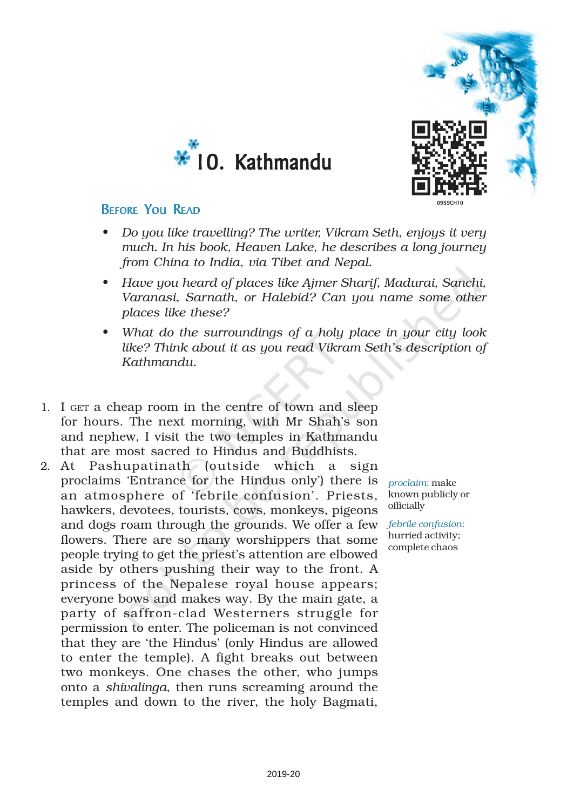



### BEFORE YOU READ

- *• Do you like travelling? The writer, Vikram Seth, enjoys it very much. In his book, Heaven Lake, he describes a long journey from China to India, via Tibet and Nepal.*
- *• Have you heard of places like Ajmer Sharif, Madurai, Sanchi, Varanasi, Sarnath, or Halebid? Can you name some other places like these?*
- *• What do the surroundings of a holy place in your city look like? Think about it as you read Vikram Seth's description of Kathmandu.*
- 1. I GET a cheap room in the centre of town and sleep for hours. The next morning, with Mr Shah's son and nephew, I visit the two temples in Kathmandu that are most sacred to Hindus and Buddhists.
- 2. At Pashupatinath (outside which a sign proclaims 'Entrance for the Hindus only') there is *proclaim*: make an atmosphere of 'febrile confusion'. Priests, known publicly or hawkers, devotees, tourists, cows, monkeys, pigeons and dogs roam through the grounds. We offer a few *febrile confusion*: flowers. There are so many worshippers that some people trying to get the priest's attention are elbowed aside by others pushing their way to the front. A princess of the Nepalese royal house appears; everyone bows and makes way. By the main gate, a party of saffron-clad Westerners struggle for permission to enter. The policeman is not convinced that they are 'the Hindus' (only Hindus are allowed to enter the temple). A fight breaks out between two monkeys. One chases the other, who jumps onto a *shivalinga*, then runs screaming around the temples and down to the river, the holy Bagmati,

officially

hurried activity; complete chaos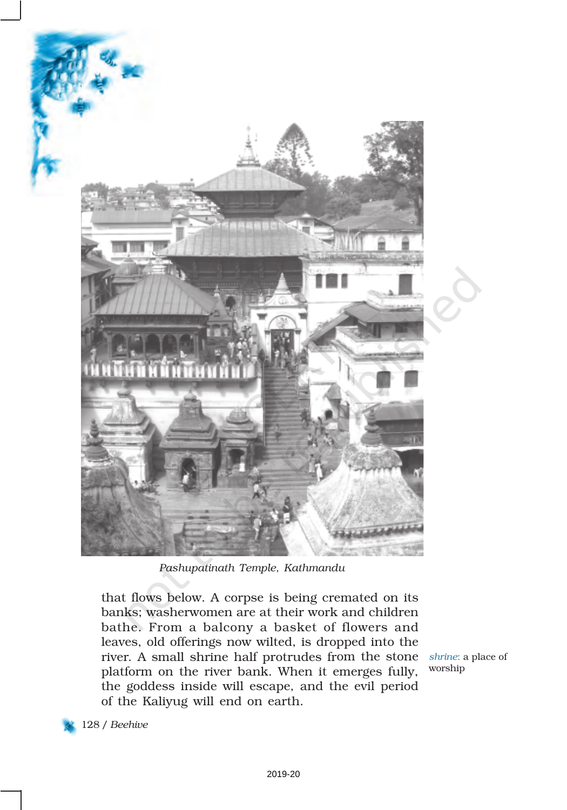

*Pashupatinath Temple, Kathmandu*

that flows below. A corpse is being cremated on its banks; washerwomen are at their work and children bathe. From a balcony a basket of flowers and leaves, old offerings now wilted, is dropped into the river. A small shrine half protrudes from the stone *shrine*: a place of platform on the river bank. When it emerges fully, the goddess inside will escape, and the evil period of the Kaliyug will end on earth.

worship

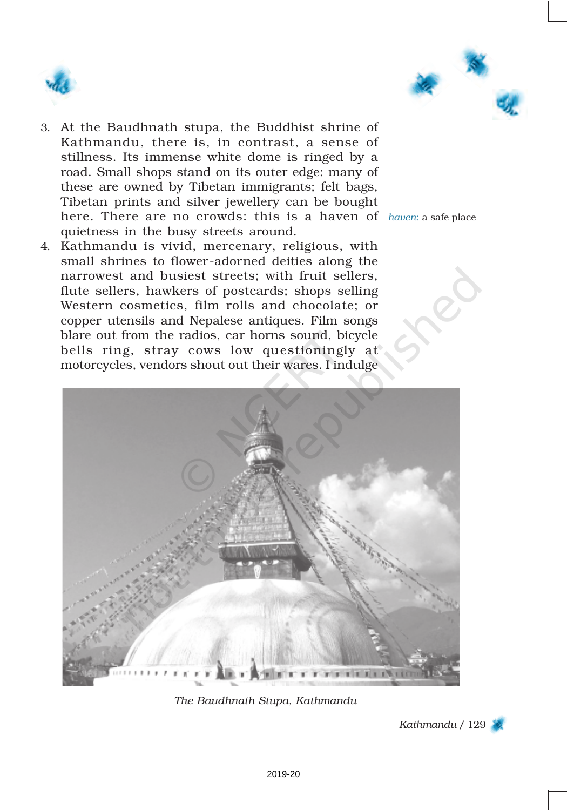



- 3. At the Baudhnath stupa, the Buddhist shrine of Kathmandu, there is, in contrast, a sense of stillness. Its immense white dome is ringed by a road. Small shops stand on its outer edge: many of these are owned by Tibetan immigrants; felt bags, Tibetan prints and silver jewellery can be bought here. There are no crowds: this is a haven of *haven*: a safe place quietness in the busy streets around.
- 4. Kathmandu is vivid, mercenary, religious, with small shrines to flower-adorned deities along the narrowest and busiest streets; with fruit sellers, flute sellers, hawkers of postcards; shops selling Western cosmetics, film rolls and chocolate; or copper utensils and Nepalese antiques. Film songs blare out from the radios, car horns sound, bicycle bells ring, stray cows low questioningly at motorcycles, vendors shout out their wares. I indulge



*The Baudhnath Stupa, Kathmandu*

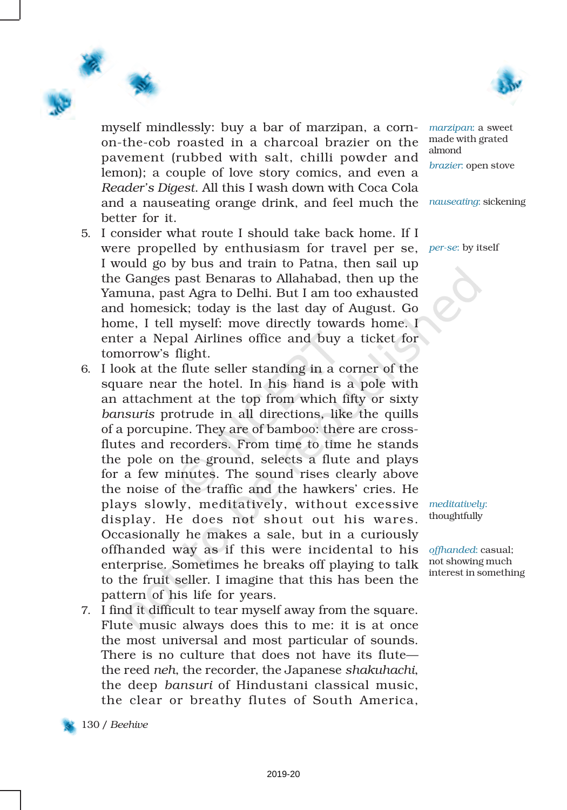

myself mindlessly: buy a bar of marzipan, a cornon-the-cob roasted in a charcoal brazier on the pavement (rubbed with salt, chilli powder and lemon); a couple of love story comics, and even a *Reader's Digest*. All this I wash down with Coca Cola and a nauseating orange drink, and feel much the *nauseating*: sickening better for it.

- 5. I consider what route I should take back home. If I were propelled by enthusiasm for travel per se, *per-se*: by itself I would go by bus and train to Patna, then sail up the Ganges past Benaras to Allahabad, then up the Yamuna, past Agra to Delhi. But I am too exhausted and homesick; today is the last day of August. Go home, I tell myself: move directly towards home. I enter a Nepal Airlines office and buy a ticket for tomorrow's flight.
- 6. I look at the flute seller standing in a corner of the square near the hotel. In his hand is a pole with an attachment at the top from which fifty or sixty *bansuris* protrude in all directions, like the quills of a porcupine. They are of bamboo: there are crossflutes and recorders. From time to time he stands the pole on the ground, selects a flute and plays for a few minutes. The sound rises clearly above the noise of the traffic and the hawkers' cries. He plays slowly, meditatively, without excessive display. He does not shout out his wares. Occasionally he makes a sale, but in a curiously offhanded way as if this were incidental to his enterprise. Sometimes he breaks off playing to talk to the fruit seller. I imagine that this has been the pattern of his life for years.
- 7. I find it difficult to tear myself away from the square. Flute music always does this to me: it is at once the most universal and most particular of sounds. There is no culture that does not have its flute the reed *neh*, the recorder, the Japanese *shakuhachi*, the deep *bansuri* of Hindustani classical music, the clear or breathy flutes of South America,

*marzipan*: a sweet made with grated almond *brazier*: open stove

*meditatively*: thoughtfully

*offhanded*: casual; not showing much interest in something

130 / *Beehive*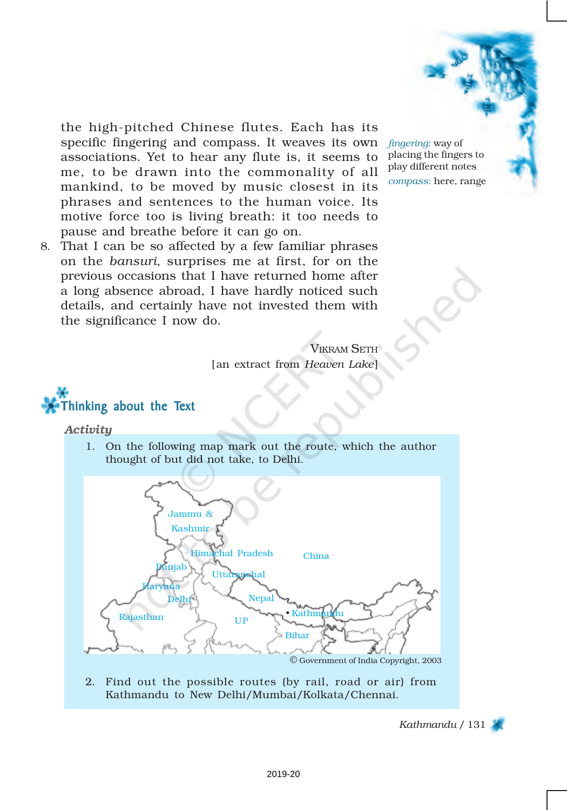

the high-pitched Chinese flutes. Each has its specific fingering and compass. It weaves its own associations. Yet to hear any flute is, it seems to me, to be drawn into the commonality of all mankind, to be moved by music closest in its phrases and sentences to the human voice. Its motive force too is living breath: it too needs to pause and breathe before it can go on.

8. That I can be so affected by a few familiar phrases on the *bansuri*, surprises me at first, for on the previous occasions that I have returned home after a long absence abroad, I have hardly noticed such details, and certainly have not invested them with the significance I now do.

> VIKRAM SETH [an extract from *Heaven Lake*]



#### *Activity*

1. On the following map mark out the route, which the author thought of but did not take, to Delhi.



2. Find out the possible routes (by rail, road or air) from Kathmandu to New Delhi/Mumbai/Kolkata/Chennai.

*Kathmandu* / 131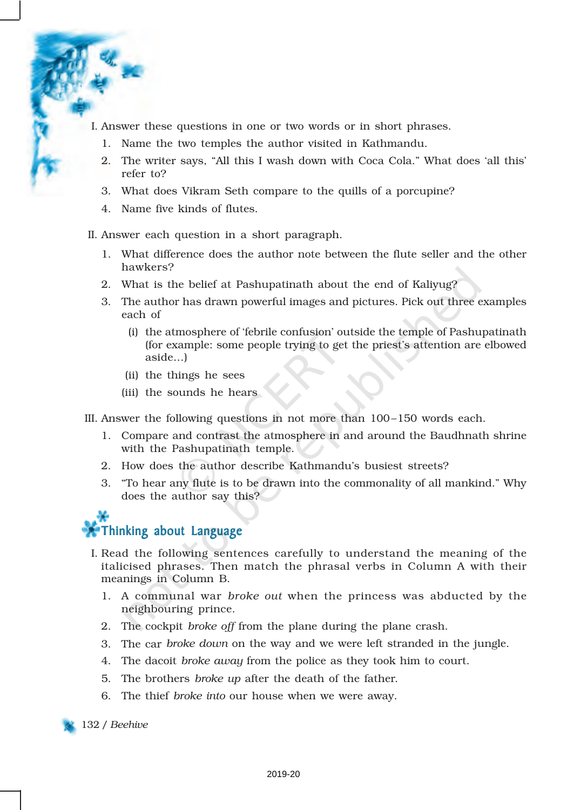- I. Answer these questions in one or two words or in short phrases.
	- 1. Name the two temples the author visited in Kathmandu.
	- 2. The writer says, "All this I wash down with Coca Cola." What does 'all this' refer to?
	- 3. What does Vikram Seth compare to the quills of a porcupine?
	- 4. Name five kinds of flutes.

II. Answer each question in a short paragraph.

- 1. What difference does the author note between the flute seller and the other hawkers?
- 2. What is the belief at Pashupatinath about the end of Kaliyug?
- 3. The author has drawn powerful images and pictures. Pick out three examples each of
	- (i) the atmosphere of 'febrile confusion' outside the temple of Pashupatinath (for example: some people trying to get the priest's attention are elbowed aside...)
	- (ii) the things he sees
	- (iii) the sounds he hears

III. Answer the following questions in not more than 100–150 words each.

- 1. Compare and contrast the atmosphere in and around the Baudhnath shrine with the Pashupatinath temple.
- 2. How does the author describe Kathmandu's busiest streets?
- 3. "To hear any flute is to be drawn into the commonality of all mankind." Why does the author say this?

## Thinking about Language

- I. Read the following sentences carefully to understand the meaning of the italicised phrases. Then match the phrasal verbs in Column A with their meanings in Column B.
	- 1. A communal war *broke out* when the princess was abducted by the neighbouring prince.
	- 2. The cockpit *broke off* from the plane during the plane crash.
	- 3. The car *broke down* on the way and we were left stranded in the jungle.
	- 4. The dacoit *broke away* from the police as they took him to court.
	- 5. The brothers *broke up* after the death of the father.
	- 6. The thief *broke into* our house when we were away.

132 / *Beehive*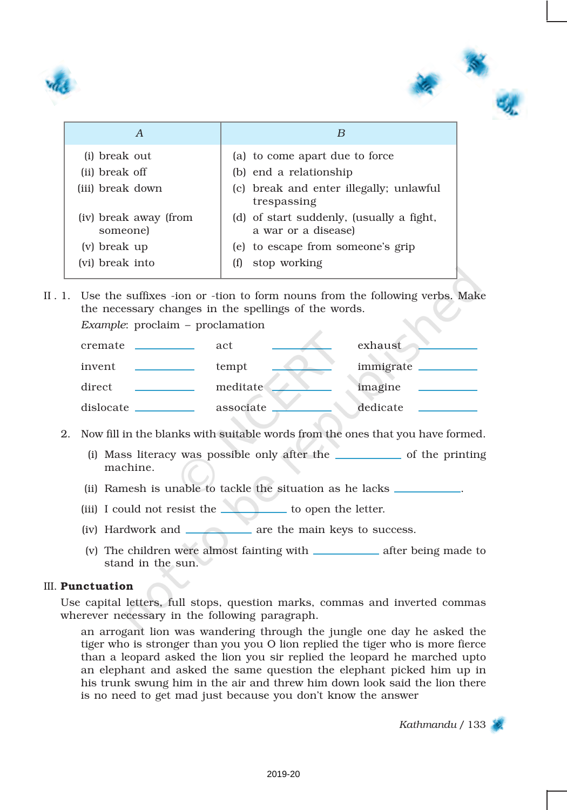



| (i) break out<br>(ii) break off   | (a) to come apart due to force<br>(b) end a relationship        |
|-----------------------------------|-----------------------------------------------------------------|
| (iii) break down                  | (c) break and enter illegally; unlawful<br>trespassing          |
| (iv) break away (from<br>someone) | (d) of start suddenly, (usually a fight,<br>a war or a disease) |
| (v) break up                      | (e) to escape from someone's grip                               |
| (vi) break into                   | stop working<br>(t)                                             |

II . 1. Use the suffixes -ion or -tion to form nouns from the following verbs. Make the necessary changes in the spellings of the words.

*Example*: proclaim – proclamation



- 2. Now fill in the blanks with suitable words from the ones that you have formed.
	- $(i)$  Mass literacy was possible only after the  $\_\_\_\_\_\_$  of the printing machine.
	- (ii) Ramesh is unable to tackle the situation as he lacks .
	- (iii) I could not resist the  $\qquad \qquad$  to open the letter.
	- (iv) Hardwork and **are the main keys to success.**
	- (v) The children were almost fainting with \_\_\_\_\_\_\_\_\_\_\_\_\_ after being made to stand in the sun.

#### III. Punctuation

Use capital letters, full stops, question marks, commas and inverted commas wherever necessary in the following paragraph.

an arrogant lion was wandering through the jungle one day he asked the tiger who is stronger than you you O lion replied the tiger who is more fierce than a leopard asked the lion you sir replied the leopard he marched upto an elephant and asked the same question the elephant picked him up in his trunk swung him in the air and threw him down look said the lion there is no need to get mad just because you don't know the answer

*Kathmandu* / 133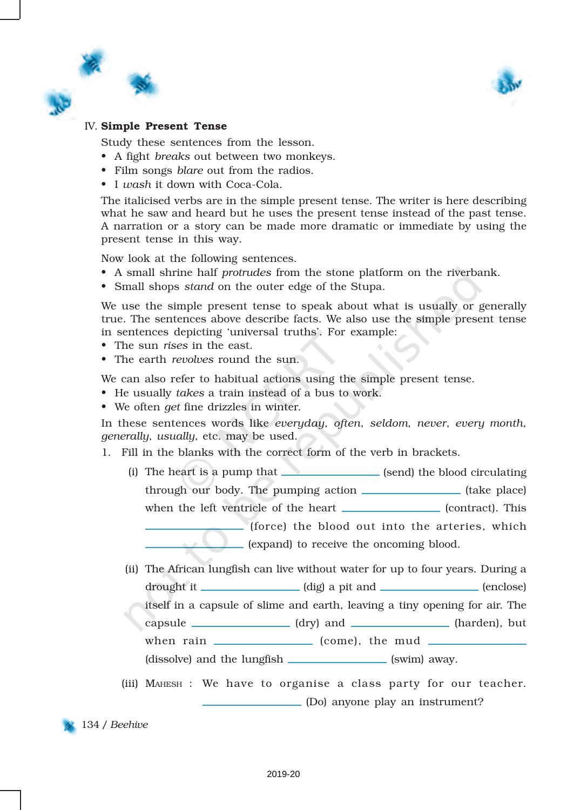

#### IV. Simple Present Tense

Study these sentences from the lesson.

- A fight *breaks* out between two monkeys.
- Film songs *blare* out from the radios.
- I *wash* it down with Coca-Cola.

The italicised verbs are in the simple present tense. The writer is here describing what he saw and heard but he uses the present tense instead of the past tense. A narration or a story can be made more dramatic or immediate by using the present tense in this way.

Now look at the following sentences.

- A small shrine half *protrudes* from the stone platform on the riverbank.
- Small shops *stand* on the outer edge of the Stupa.

We use the simple present tense to speak about what is usually or generally true. The sentences above describe facts. We also use the simple present tense in sentences depicting 'universal truths'. For example:

- The sun *rises* in the east.
- The earth *revolves* round the sun.

We can also refer to habitual actions using the simple present tense.

- He usually *takes* a train instead of a bus to work.
- We often *get* fine drizzles in winter.

In these sentences words like *everyday*, *often*, *seldom*, *never*, *every month*, *generally*, *usually*, etc. may be used.

1. Fill in the blanks with the correct form of the verb in brackets.

(i) The heart is a pump that  $\Box$  (send) the blood circulating through our body. The pumping action \_\_\_\_\_\_\_\_\_\_\_\_\_\_\_ (take place) when the left ventricle of the heart (contract). This (force) the blood out into the arteries, which (expand) to receive the oncoming blood.

- (ii) The African lungfish can live without water for up to four years. During a drought it (dig) a pit and (enclose)
	- itself in a capsule of slime and earth, leaving a tiny opening for air. The capsule (dry) and (harden), but

when rain \_\_\_\_\_\_\_\_\_\_\_\_\_\_\_ (come), the mud \_\_\_\_\_\_\_

(dissolve) and the lungfish (swim) away.

(iii) MAHESH : We have to organise a class party for our teacher. (Do) anyone play an instrument?

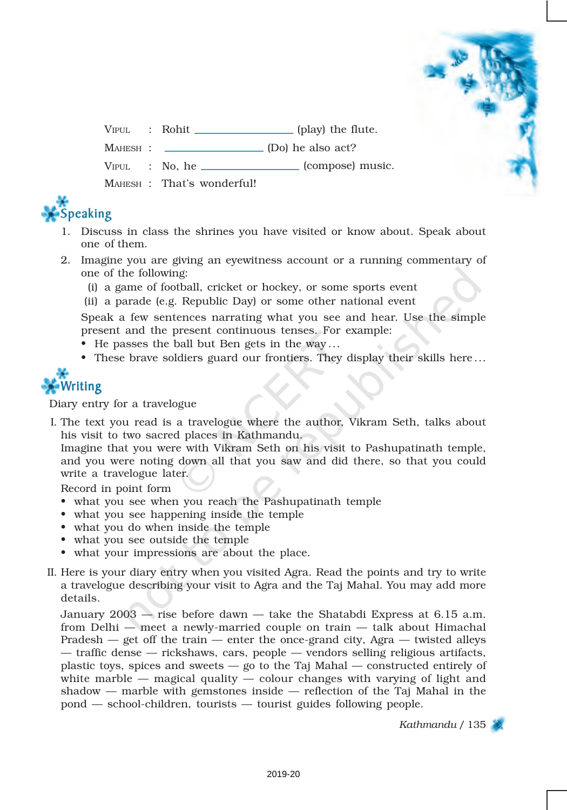VIPUL : Rohit (play) the flute.

MAHESH : \_\_\_\_\_\_\_\_\_\_\_\_\_\_\_\_\_\_ (Do) he also act?

 $VIPUL$  : No, he  $\Box$  (compose) music.

MAHESH : That's wonderful!



- 1. Discuss in class the shrines you have visited or know about. Speak about one of them.
- 2. Imagine you are giving an eyewitness account or a running commentary of one of the following:
	- (i) a game of football, cricket or hockey, or some sports event
	- (ii) a parade (e.g. Republic Day) or some other national event

Speak a few sentences narrating what you see and hear. Use the simple present and the present continuous tenses. For example:

- He passes the ball but Ben gets in the way ...
- These brave soldiers guard our frontiers. They display their skills here ...



Diary entry for a travelogue

I. The text you read is a travelogue where the author, Vikram Seth, talks about his visit to two sacred places in Kathmandu.

Imagine that you were with Vikram Seth on his visit to Pashupatinath temple, and you were noting down all that you saw and did there, so that you could write a travelogue later.

Record in point form

- what you see when you reach the Pashupatinath temple
- what you see happening inside the temple
- what you do when inside the temple
- what you see outside the temple
- what your impressions are about the place.
- II. Here is your diary entry when you visited Agra. Read the points and try to write a travelogue describing your visit to Agra and the Taj Mahal. You may add more details.

January 2003 — rise before dawn — take the Shatabdi Express at 6.15 a.m. from Delhi — meet a newly-married couple on train — talk about Himachal Pradesh  $-$  get off the train  $-$  enter the once-grand city, Agra  $-$  twisted alleys — traffic dense — rickshaws, cars, people — vendors selling religious artifacts, plastic toys, spices and sweets — go to the Taj Mahal — constructed entirely of white marble  $-$  magical quality  $-$  colour changes with varying of light and shadow — marble with gemstones inside — reflection of the Taj Mahal in the pond — school-children, tourists — tourist guides following people.

*Kathmandu* / 135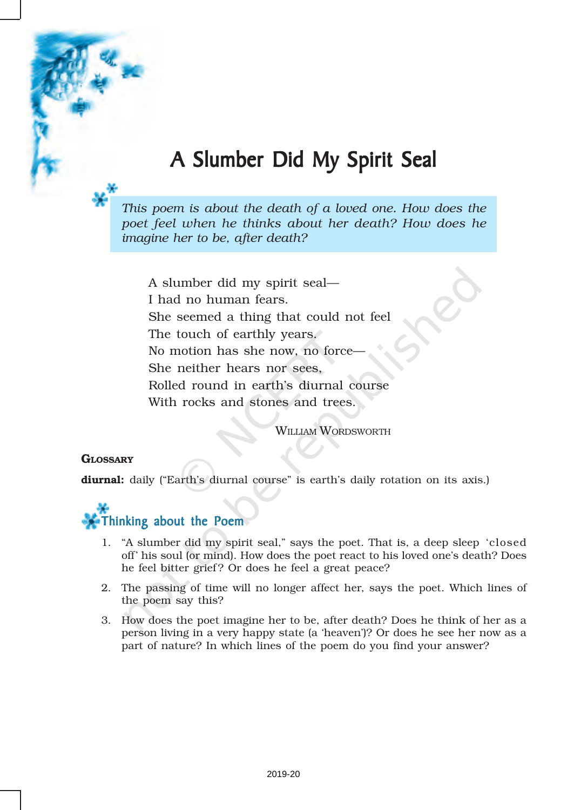# A Slumber Did My Spirit Seal

*This poem is about the death of a loved one. How does the poet feel when he thinks about her death? How does he imagine her to be, after death?*

A slumber did my spirit seal— I had no human fears. She seemed a thing that could not feel The touch of earthly years. No motion has she now, no force— She neither hears nor sees, Rolled round in earth's diurnal course With rocks and stones and trees.

WILLIAM WORDSWORTH

#### **GLOSSARY**

diurnal: daily ("Earth's diurnal course" is earth's daily rotation on its axis.)



- 1. "A slumber did my spirit seal," says the poet. That is, a deep sleep 'closed off' his soul (or mind). How does the poet react to his loved one's death? Does he feel bitter grief ? Or does he feel a great peace?
- 2. The passing of time will no longer affect her, says the poet. Which lines of the poem say this?
- 3. How does the poet imagine her to be, after death? Does he think of her as a person living in a very happy state (a 'heaven')? Or does he see her now as a part of nature? In which lines of the poem do you find your answer?